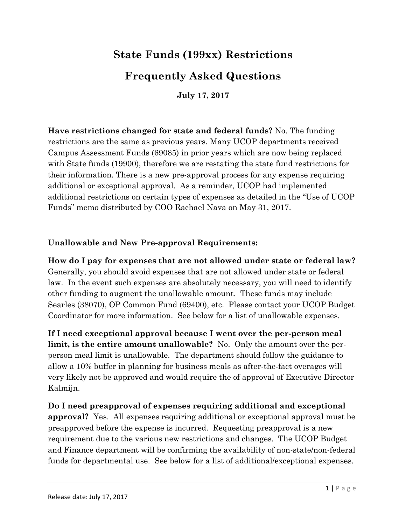# **State Funds (199xx) Restrictions**

# **Frequently Asked Questions**

**July 17, 2017**

**Have restrictions changed for state and federal funds?** No. The funding restrictions are the same as previous years. Many UCOP departments received Campus Assessment Funds (69085) in prior years which are now being replaced with State funds (19900), therefore we are restating the state fund restrictions for their information. There is a new pre-approval process for any expense requiring additional or exceptional approval. As a reminder, UCOP had implemented additional restrictions on certain types of expenses as detailed in the "Use of UCOP Funds" memo distributed by COO Rachael Nava on May 31, 2017.

#### **Unallowable and New Pre-approval Requirements:**

**How do I pay for expenses that are not allowed under state or federal law?**  Generally, you should avoid expenses that are not allowed under state or federal law. In the event such expenses are absolutely necessary, you will need to identify other funding to augment the unallowable amount. These funds may include Searles (38070), OP Common Fund (69400), etc. Please contact your UCOP Budget Coordinator for more information. See below for a list of unallowable expenses.

**If I need exceptional approval because I went over the per-person meal limit, is the entire amount unallowable?** No. Only the amount over the perperson meal limit is unallowable. The department should follow the guidance to allow a 10% buffer in planning for business meals as after-the-fact overages will very likely not be approved and would require the of approval of Executive Director Kalmijn.

**Do I need preapproval of expenses requiring additional and exceptional approval?** Yes. All expenses requiring additional or exceptional approval must be preapproved before the expense is incurred. Requesting preapproval is a new requirement due to the various new restrictions and changes. The UCOP Budget and Finance department will be confirming the availability of non-state/non-federal funds for departmental use.See below for a list of additional/exceptional expenses.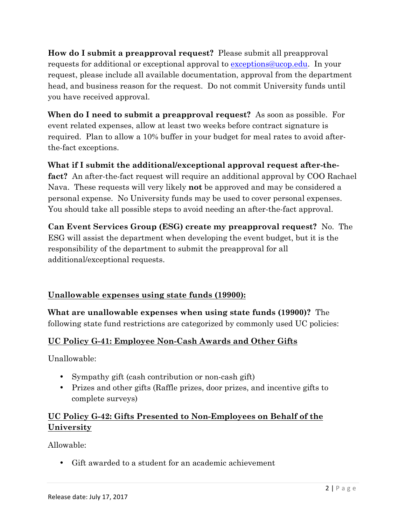**How do I submit a preapproval request?** Please submit all preapproval requests for additional or exceptional approval to exceptions@ucop.edu. In your request, please include all available documentation, approval from the department head, and business reason for the request. Do not commit University funds until you have received approval.

**When do I need to submit a preapproval request?** As soon as possible. For event related expenses, allow at least two weeks before contract signature is required. Plan to allow a 10% buffer in your budget for meal rates to avoid afterthe-fact exceptions.

**What if I submit the additional/exceptional approval request after-thefact?** An after-the-fact request will require an additional approval by COO Rachael Nava. These requests will very likely **not** be approved and may be considered a personal expense. No University funds may be used to cover personal expenses. You should take all possible steps to avoid needing an after-the-fact approval.

**Can Event Services Group (ESG) create my preapproval request?** No. The ESG will assist the department when developing the event budget, but it is the responsibility of the department to submit the preapproval for all additional/exceptional requests.

# **Unallowable expenses using state funds (19900):**

**What are unallowable expenses when using state funds (19900)?** The following state fund restrictions are categorized by commonly used UC policies:

# **UC Policy G-41: Employee Non-Cash Awards and Other Gifts**

Unallowable:

- Sympathy gift (cash contribution or non-cash gift)
- Prizes and other gifts (Raffle prizes, door prizes, and incentive gifts to complete surveys)

## **UC Policy G-42: Gifts Presented to Non-Employees on Behalf of the University**

Allowable:

• Gift awarded to a student for an academic achievement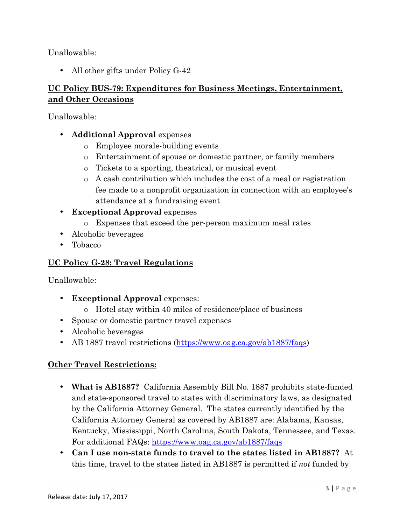Unallowable:

• All other gifts under Policy G-42

### **UC Policy BUS-79: Expenditures for Business Meetings, Entertainment, and Other Occasions**

Unallowable:

- **Additional Approval** expenses
	- o Employee morale-building events
	- o Entertainment of spouse or domestic partner, or family members
	- o Tickets to a sporting, theatrical, or musical event
	- o A cash contribution which includes the cost of a meal or registration fee made to a nonprofit organization in connection with an employee's attendance at a fundraising event
- **Exceptional Approval** expenses
	- o Expenses that exceed the per-person maximum meal rates
- Alcoholic beverages
- Tobacco

### **UC Policy G-28: Travel Regulations**

Unallowable:

- **Exceptional Approval** expenses:
	- o Hotel stay within 40 miles of residence/place of business
- Spouse or domestic partner travel expenses
- Alcoholic beverages
- AB 1887 travel restrictions (https://www.oag.ca.gov/ab1887/faqs)

#### **Other Travel Restrictions:**

- **What is AB1887?** California Assembly Bill No. 1887 prohibits state-funded and state-sponsored travel to states with discriminatory laws, as designated by the California Attorney General. The states currently identified by the California Attorney General as covered by AB1887 are: Alabama, Kansas, Kentucky, Mississippi, North Carolina, South Dakota, Tennessee, and Texas. For additional FAQs: https://www.oag.ca.gov/ab1887/faqs
- **Can I use non-state funds to travel to the states listed in AB1887?** At this time, travel to the states listed in AB1887 is permitted if *not* funded by